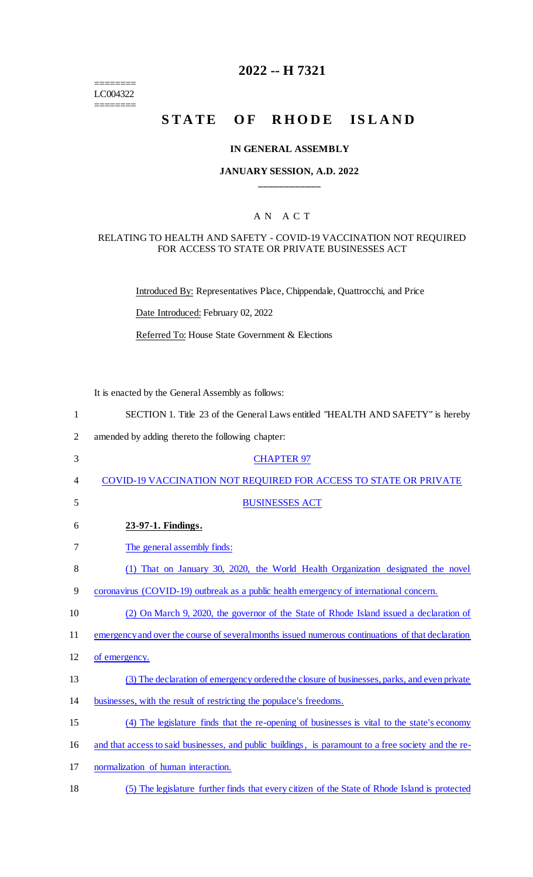$=$ LC004322 ========

## **2022 -- H 7321**

# **STATE OF RHODE ISLAND**

#### **IN GENERAL ASSEMBLY**

#### **JANUARY SESSION, A.D. 2022 \_\_\_\_\_\_\_\_\_\_\_\_**

## A N A C T

#### RELATING TO HEALTH AND SAFETY - COVID-19 VACCINATION NOT REQUIRED FOR ACCESS TO STATE OR PRIVATE BUSINESSES ACT

Introduced By: Representatives Place, Chippendale, Quattrocchi, and Price

Date Introduced: February 02, 2022

Referred To: House State Government & Elections

It is enacted by the General Assembly as follows:

| $\mathbf{1}$   | SECTION 1. Title 23 of the General Laws entitled "HEALTH AND SAFETY" is hereby                       |
|----------------|------------------------------------------------------------------------------------------------------|
| $\overline{2}$ | amended by adding thereto the following chapter:                                                     |
| 3              | <b>CHAPTER 97</b>                                                                                    |
| 4              | COVID-19 VACCINATION NOT REQUIRED FOR ACCESS TO STATE OR PRIVATE                                     |
| 5              | <b>BUSINESSES ACT</b>                                                                                |
| 6              | 23-97-1. Findings.                                                                                   |
| 7              | The general assembly finds:                                                                          |
| 8              | (1) That on January 30, 2020, the World Health Organization designated the novel                     |
| 9              | coronavirus (COVID-19) outbreak as a public health emergency of international concern.               |
| 10             | (2) On March 9, 2020, the governor of the State of Rhode Island issued a declaration of              |
| 11             | emergency and over the course of several months issued numerous continuations of that declaration    |
| 12             | of emergency.                                                                                        |
| 13             | (3) The declaration of emergency ordered the closure of businesses, parks, and even private          |
| 14             | businesses, with the result of restricting the populace's freedoms.                                  |
| 15             | (4) The legislature finds that the re-opening of businesses is vital to the state's economy          |
| 16             | and that access to said businesses, and public buildings, is paramount to a free society and the re- |
| 17             | normalization of human interaction.                                                                  |
| 18             | (5) The legislature further finds that every citizen of the State of Rhode Island is protected       |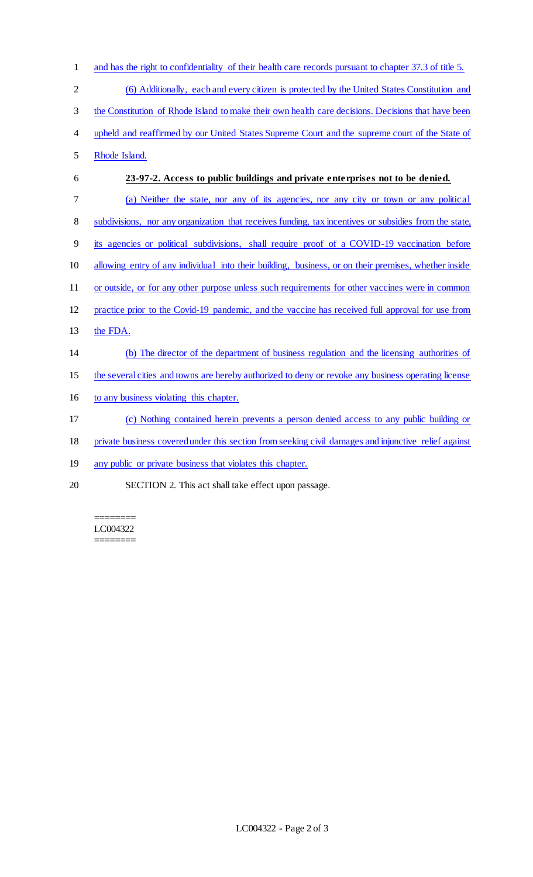(6) Additionally, each and every citizen is protected by the United States Constitution and the Constitution of Rhode Island to make their own health care decisions. Decisions that have been 4 upheld and reaffirmed by our United States Supreme Court and the supreme court of the State of Rhode Island. **23-97-2. Access to public buildings and private enterprises not to be denied.**  (a) Neither the state, nor any of its agencies, nor any city or town or any political subdivisions, nor any organization that receives funding, tax incentives or subsidies from the state, its agencies or political subdivisions, shall require proof of a COVID-19 vaccination before allowing entry of any individual into their building, business, or on their premises, whether inside 11 or outside, or for any other purpose unless such requirements for other vaccines were in common practice prior to the Covid-19 pandemic, and the vaccine has received full approval for use from the FDA. (b) The director of the department of business regulation and the licensing authorities of the several cities and towns are hereby authorized to deny or revoke any business operating license to any business violating this chapter. (c) Nothing contained herein prevents a person denied access to any public building or private business covered under this section from seeking civil damages and injunctive relief against 19 any public or private business that violates this chapter.

1 and has the right to confidentiality of their health care records pursuant to chapter 37.3 of title 5.

SECTION 2. This act shall take effect upon passage.

======== LC004322 ========